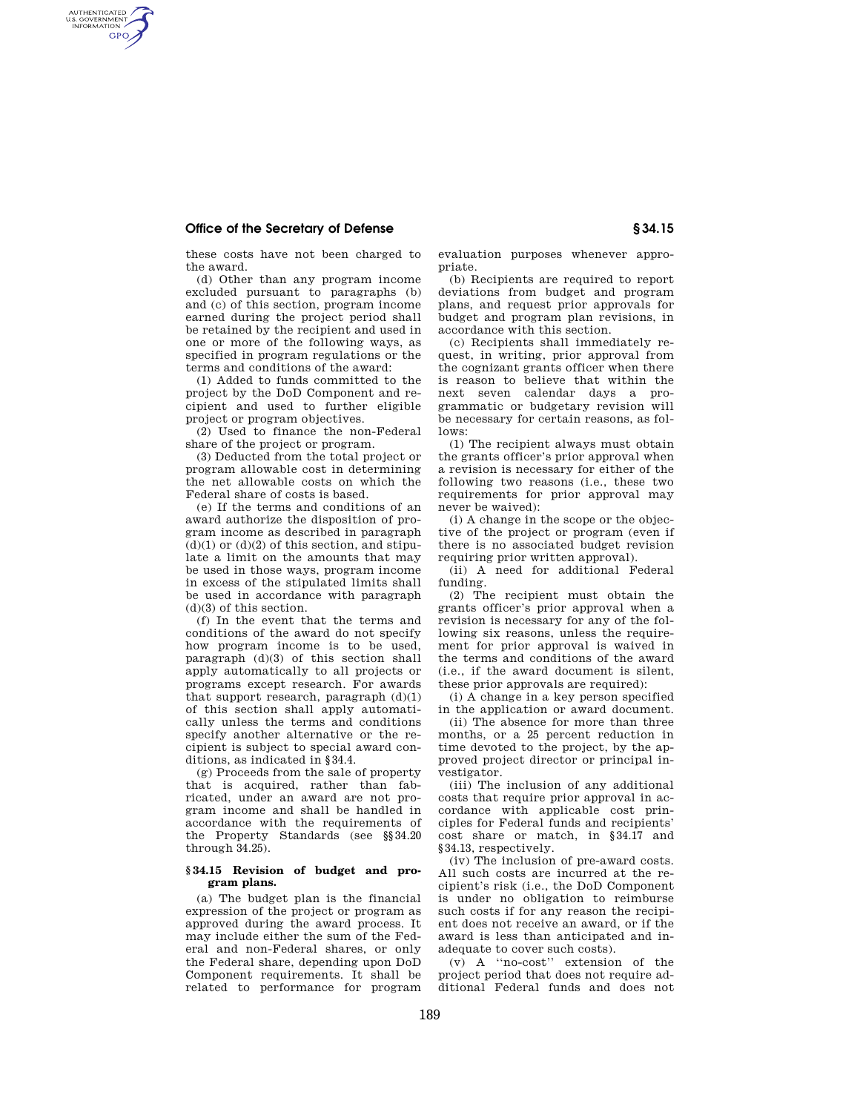## **Office of the Secretary of Defense § 34.15**

AUTHENTICATED<br>U.S. GOVERNMENT<br>INFORMATION **GPO** 

these costs have not been charged to the award.

(d) Other than any program income excluded pursuant to paragraphs (b) and (c) of this section, program income earned during the project period shall be retained by the recipient and used in one or more of the following ways, as specified in program regulations or the terms and conditions of the award:

(1) Added to funds committed to the project by the DoD Component and recipient and used to further eligible project or program objectives.

(2) Used to finance the non-Federal share of the project or program.

(3) Deducted from the total project or program allowable cost in determining the net allowable costs on which the Federal share of costs is based.

(e) If the terms and conditions of an award authorize the disposition of program income as described in paragraph  $(d)(1)$  or  $(d)(2)$  of this section, and stipulate a limit on the amounts that may be used in those ways, program income in excess of the stipulated limits shall be used in accordance with paragraph (d)(3) of this section.

(f) In the event that the terms and conditions of the award do not specify how program income is to be used, paragraph (d)(3) of this section shall apply automatically to all projects or programs except research. For awards that support research, paragraph  $(d)(1)$ of this section shall apply automatically unless the terms and conditions specify another alternative or the recipient is subject to special award conditions, as indicated in §34.4.

(g) Proceeds from the sale of property that is acquired, rather than fabricated, under an award are not program income and shall be handled in accordance with the requirements of the Property Standards (see §§34.20 through 34.25).

## **§ 34.15 Revision of budget and program plans.**

(a) The budget plan is the financial expression of the project or program as approved during the award process. It may include either the sum of the Federal and non-Federal shares, or only the Federal share, depending upon DoD Component requirements. It shall be related to performance for program

evaluation purposes whenever appropriate.

(b) Recipients are required to report deviations from budget and program plans, and request prior approvals for budget and program plan revisions, in accordance with this section.

(c) Recipients shall immediately request, in writing, prior approval from the cognizant grants officer when there is reason to believe that within the next seven calendar days a programmatic or budgetary revision will be necessary for certain reasons, as follows:

(1) The recipient always must obtain the grants officer's prior approval when a revision is necessary for either of the following two reasons (i.e., these two requirements for prior approval may never be waived):

(i) A change in the scope or the objective of the project or program (even if there is no associated budget revision requiring prior written approval).

(ii) A need for additional Federal funding.

(2) The recipient must obtain the grants officer's prior approval when a revision is necessary for any of the following six reasons, unless the requirement for prior approval is waived in the terms and conditions of the award (i.e., if the award document is silent, these prior approvals are required):

(i) A change in a key person specified in the application or award document.

(ii) The absence for more than three months, or a 25 percent reduction in time devoted to the project, by the approved project director or principal investigator.

(iii) The inclusion of any additional costs that require prior approval in accordance with applicable cost principles for Federal funds and recipients' cost share or match, in §34.17 and §34.13, respectively.

(iv) The inclusion of pre-award costs. All such costs are incurred at the recipient's risk (i.e., the DoD Component is under no obligation to reimburse such costs if for any reason the recipient does not receive an award, or if the award is less than anticipated and inadequate to cover such costs).

(v) A ''no-cost'' extension of the project period that does not require additional Federal funds and does not